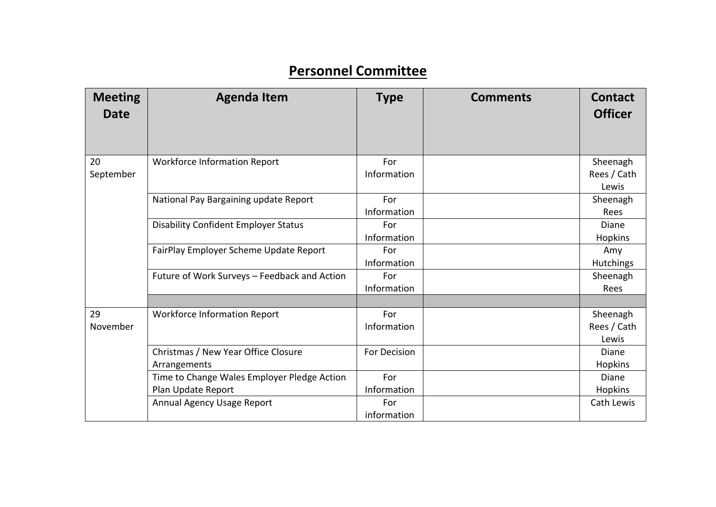## **Personnel Committee**

| <b>Meeting</b><br><b>Date</b> | <b>Agenda Item</b>                           | <b>Type</b>  | <b>Comments</b> | <b>Contact</b><br><b>Officer</b> |
|-------------------------------|----------------------------------------------|--------------|-----------------|----------------------------------|
| 20<br>September               | <b>Workforce Information Report</b>          | For          |                 | Sheenagh                         |
|                               |                                              | Information  |                 | Rees / Cath<br>Lewis             |
|                               | National Pay Bargaining update Report        | For          |                 | Sheenagh                         |
|                               |                                              | Information  |                 | Rees                             |
|                               | <b>Disability Confident Employer Status</b>  | For          |                 | Diane                            |
|                               |                                              | Information  |                 | Hopkins                          |
|                               | FairPlay Employer Scheme Update Report       | For          |                 | Amy                              |
|                               |                                              | Information  |                 | Hutchings                        |
|                               | Future of Work Surveys - Feedback and Action | For          |                 | Sheenagh                         |
|                               |                                              | Information  |                 | Rees                             |
| 29                            | <b>Workforce Information Report</b>          | For          |                 | Sheenagh                         |
| November                      |                                              | Information  |                 | Rees / Cath                      |
|                               |                                              |              |                 | Lewis                            |
|                               | Christmas / New Year Office Closure          | For Decision |                 | Diane                            |
|                               | Arrangements                                 |              |                 | <b>Hopkins</b>                   |
|                               | Time to Change Wales Employer Pledge Action  | For          |                 | Diane                            |
|                               | Plan Update Report                           | Information  |                 | Hopkins                          |
|                               | Annual Agency Usage Report                   | For          |                 | Cath Lewis                       |
|                               |                                              | information  |                 |                                  |